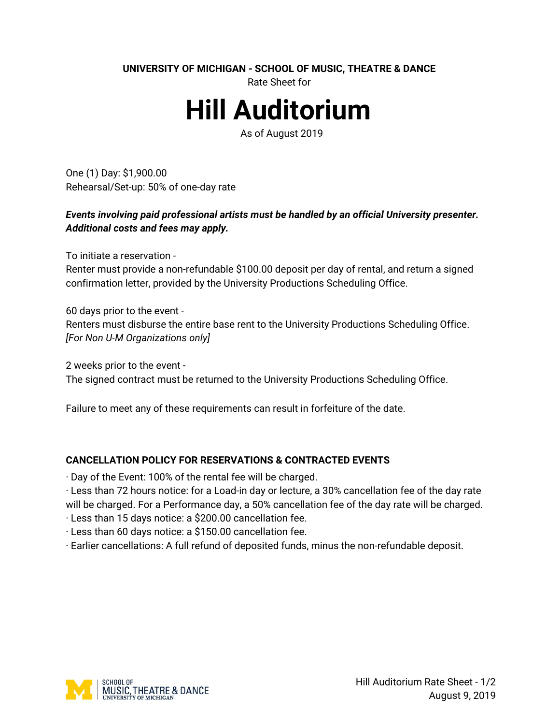**UNIVERSITY OF MICHIGAN - SCHOOL OF MUSIC, THEATRE & DANCE** 

Rate Sheet for

# **Hill Auditorium**

As of August 2019

One (1) Day: \$1,900.00 Rehearsal/Set-up: 50% of one-day rate

## *Events involving paid professional artists must be handled by an official University presenter. Additional costs and fees may apply.*

To initiate a reservation -

Renter must provide a non-refundable \$100.00 deposit per day of rental, and return a signed confirmation letter, provided by the University Productions Scheduling Office.

60 days prior to the event -

Renters must disburse the entire base rent to the University Productions Scheduling Office. *[For Non U-M Organizations only]* 

2 weeks prior to the event - The signed contract must be returned to the University Productions Scheduling Office.

Failure to meet any of these requirements can result in forfeiture of the date.

#### **CANCELLATION POLICY FOR RESERVATIONS & CONTRACTED EVENTS**

· Day of the Event: 100% of the rental fee will be charged.

· Less than 72 hours notice: for a Load-in day or lecture, a 30% cancellation fee of the day rate will be charged. For a Performance day, a 50% cancellation fee of the day rate will be charged.

· Less than 15 days notice: a \$200.00 cancellation fee.

· Less than 60 days notice: a \$150.00 cancellation fee.

· Earlier cancellations: A full refund of deposited funds, minus the non-refundable deposit.